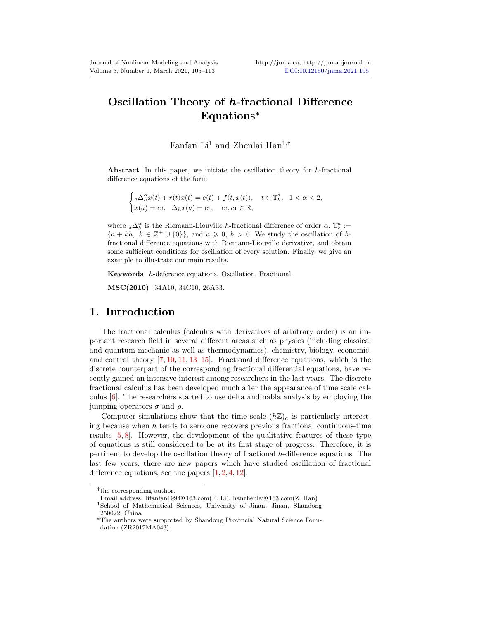# Oscillation Theory of h-fractional Difference Equations<sup>∗</sup>

### Fanfan Li<sup>1</sup> and Zhenlai Han<sup>1,†</sup>

Abstract In this paper, we initiate the oscillation theory for h-fractional difference equations of the form

$$
\begin{cases} _a\Delta_h^\alpha x(t) + r(t)x(t) = e(t) + f(t, x(t)), \quad t \in \mathbb{T}_h^a, \quad 1 < \alpha < 2, \\ x(a) = c_0, \quad \Delta_h x(a) = c_1, \quad c_0, c_1 \in \mathbb{R}, \end{cases}
$$

where  $_a\Delta_h^{\alpha}$  is the Riemann-Liouville h-fractional difference of order  $\alpha$ ,  $\mathbb{T}_h^a$  :=  ${a + kh, k \in \mathbb{Z}^+ \cup \{0\}\},\$ and  $a \geq 0, h > 0$ . We study the oscillation of hfractional difference equations with Riemann-Liouville derivative, and obtain some sufficient conditions for oscillation of every solution. Finally, we give an example to illustrate our main results.

Keywords h-deference equations, Oscillation, Fractional.

MSC(2010) 34A10, 34C10, 26A33.

#### 1. Introduction

The fractional calculus (calculus with derivatives of arbitrary order) is an important research field in several different areas such as physics (including classical and quantum mechanic as well as thermodynamics), chemistry, biology, economic, and control theory [\[7,](#page-7-1) [10,](#page-7-2) [11,](#page-8-0) [13–](#page-8-1)[15\]](#page-8-2). Fractional difference equations, which is the discrete counterpart of the corresponding fractional differential equations, have recently gained an intensive interest among researchers in the last years. The discrete fractional calculus has been developed much after the appearance of time scale calculus [\[6\]](#page-7-3). The researchers started to use delta and nabla analysis by employing the jumping operators  $\sigma$  and  $\rho$ .

Computer simulations show that the time scale  $(h\mathbb{Z})_a$  is particularly interesting because when  $h$  tends to zero one recovers previous fractional continuous-time results  $[5, 8]$  $[5, 8]$ . However, the development of the qualitative features of these type of equations is still considered to be at its first stage of progress. Therefore, it is pertinent to develop the oscillation theory of fractional h-difference equations. The last few years, there are new papers which have studied oscillation of fractional difference equations, see the papers  $[1, 2, 4, 12]$  $[1, 2, 4, 12]$  $[1, 2, 4, 12]$  $[1, 2, 4, 12]$  $[1, 2, 4, 12]$  $[1, 2, 4, 12]$ .

<sup>†</sup> the corresponding author.

Email address: lifanfan1994@163.com(F. Li), hanzhenlai@163.com(Z. Han)

<sup>1</sup>School of Mathematical Sciences, University of Jinan, Jinan, Shandong 250022, China

<sup>∗</sup>The authors were supported by Shandong Provincial Natural Science Foundation (ZR2017MA043).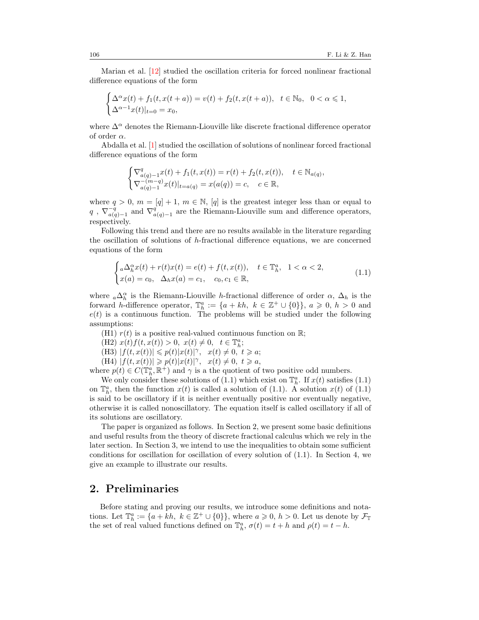Marian et al. [\[12\]](#page-8-3) studied the oscillation criteria for forced nonlinear fractional difference equations of the form

$$
\begin{cases} \Delta^{\alpha}x(t) + f_1(t, x(t+a)) = v(t) + f_2(t, x(t+a)), & t \in \mathbb{N}_0, \ 0 < \alpha \le 1, \\ \Delta^{\alpha-1}x(t)|_{t=0} = x_0, \end{cases}
$$

where  $\Delta^{\alpha}$  denotes the Riemann-Liouville like discrete fractional difference operator of order  $\alpha$ .

Abdalla et al. [\[1\]](#page-7-6) studied the oscillation of solutions of nonlinear forced fractional difference equations of the form

$$
\begin{cases} \nabla_{a(q)-1}^{q} x(t) + f_1(t, x(t)) = r(t) + f_2(t, x(t)), \quad t \in \mathbb{N}_{a(q)}, \\ \nabla_{a(q)-1}^{-(m-q)} x(t)|_{t=a(q)} = x(a(q)) = c, \quad c \in \mathbb{R}, \end{cases}
$$

where  $q > 0$ ,  $m = [q] + 1$ ,  $m \in \mathbb{N}$ ,  $[q]$  is the greatest integer less than or equal to  $q$ ,  $\nabla_{a}^{-\tilde{q}}$  $\frac{-\bar{q}}{a(q)-1}$  and  $\nabla_q^q$  $a(q)$ <sub>-1</sub> are the Riemann-Liouville sum and difference operators, respectively.

Following this trend and there are no results available in the literature regarding the oscillation of solutions of  $h$ -fractional difference equations, we are concerned equations of the form

<span id="page-1-0"></span>
$$
\begin{cases}\n a\Delta_h^{\alpha}x(t) + r(t)x(t) = e(t) + f(t, x(t)), & t \in \mathbb{T}_h^a, \ 1 < \alpha < 2, \\
x(a) = c_0, \ \Delta_h x(a) = c_1, \ c_0, c_1 \in \mathbb{R},\n\end{cases} (1.1)
$$

where  $_{a}\Delta_{h}^{\alpha}$  is the Riemann-Liouville h-fractional difference of order  $\alpha$ ,  $\Delta_{h}$  is the forward h-difference operator,  $\mathbb{T}_h^a := \{a + kh, k \in \mathbb{Z}^+ \cup \{0\}\}, a \geqslant 0, h > 0$  and  $e(t)$  is a continuous function. The problems will be studied under the following assumptions:

(H1)  $r(t)$  is a positive real-valued continuous function on  $\mathbb{R}$ ;

- (H2)  $x(t)f(t, x(t)) > 0, \ x(t) \neq 0, \ t \in \mathbb{T}_h^a;$
- (H3)  $|f(t, x(t))| \leq p(t)|x(t)|^{\gamma}, \quad x(t) \neq 0, \quad t \geq a;$
- $(H4) |f(t, x(t))| \geq p(t)|x(t)|^{\gamma}, \quad x(t) \neq 0, t \geq a,$

where  $p(t) \in C(\mathbb{T}_h^a, \mathbb{R}^+)$  and  $\gamma$  is a the quotient of two positive odd numbers.

We only consider these solutions of [\(1.1\)](#page-1-0) which exist on  $\mathbb{T}_h^a$ . If  $x(t)$  satisfies (1.1) on  $\mathbb{T}_h^a$ , then the function  $x(t)$  is called a solution of [\(1.1\)](#page-1-0). A solution  $x(t)$  of (1.1) is said to be oscillatory if it is neither eventually positive nor eventually negative, otherwise it is called nonoscillatory. The equation itself is called oscillatory if all of its solutions are oscillatory.

The paper is organized as follows. In Section 2, we present some basic definitions and useful results from the theory of discrete fractional calculus which we rely in the later section. In Section 3, we intend to use the inequalities to obtain some sufficient conditions for oscillation for oscillation of every solution of [\(1.1\)](#page-1-0). In Section 4, we give an example to illustrate our results.

### 2. Preliminaries

Before stating and proving our results, we introduce some definitions and notations. Let  $\mathbb{T}_h^a := \{a + kh, k \in \mathbb{Z}^+ \cup \{0\}\},\$  where  $a \geqslant 0, h > 0$ . Let us denote by  $\mathcal{F}_{\mathbb{T}}$ the set of real valued functions defined on  $\mathbb{T}_h^a$ ,  $\sigma(t) = t + h$  and  $\rho(t) = t - h$ .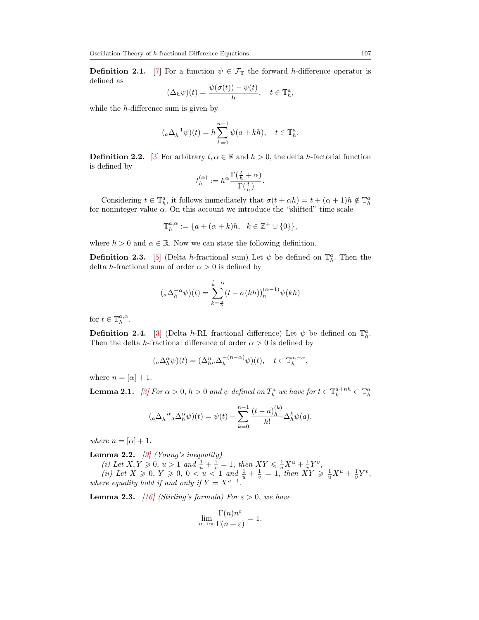**Definition 2.1.** [\[7\]](#page-7-1) For a function  $\psi \in \mathcal{F}_{\mathbb{T}}$  the forward h-difference operator is defined as

$$
(\Delta_h \psi)(t) = \frac{\psi(\sigma(t)) - \psi(t)}{h}, \quad t \in \mathbb{T}_h^a,
$$

while the h-difference sum is given by

$$
({}_a\Delta_h^{-1}\psi)(t) = h\sum_{k=0}^{n-1}\psi(a+kh), \quad t \in \mathbb{T}_h^a.
$$

<span id="page-2-2"></span>**Definition 2.2.** [\[3\]](#page-7-9) For arbitrary  $t, \alpha \in \mathbb{R}$  and  $h > 0$ , the delta h-factorial function is defined by

$$
t_h^{(\alpha)}:=h^\alpha\frac{\Gamma(\frac{t}{h}+\alpha)}{\Gamma(\frac{t}{h})}.
$$

Considering  $t \in \mathbb{T}_h^a$ , it follows immediately that  $\sigma(t + \alpha h) = t + (\alpha + 1)h \notin \mathbb{T}_h^a$ for noninteger value  $\alpha$ . On this account we introduce the "shifted" time scale

$$
\mathbb{T}_h^{a,\alpha} := \{ a + (\alpha + k)h, \quad k \in \mathbb{Z}^+ \cup \{0\} \},
$$

where  $h > 0$  and  $\alpha \in \mathbb{R}$ . Now we can state the following definition.

<span id="page-2-0"></span>**Definition 2.3.** [\[5\]](#page-7-4) (Delta h-fractional sum) Let  $\psi$  be defined on  $\mathbb{T}_h^a$ . Then the delta h-fractional sum of order  $\alpha > 0$  is defined by

$$
({}_{a}\Delta_h^{-\alpha}\psi)(t) = \sum_{k=\frac{\alpha}{h}}^{\frac{t}{h}-\alpha} (t - \sigma(kh))_h^{(\alpha-1)}\psi(kh)
$$

for  $t \in \mathbb{T}_h^{a,\alpha}$ .

**Definition 2.4.** [\[3\]](#page-7-9) (Delta h-RL fractional difference) Let  $\psi$  be defined on  $\mathbb{T}_h^a$ . Then the delta h-fractional difference of order  $\alpha > 0$  is defined by

$$
({}_a\Delta_h^{\alpha}\psi)(t) = (\Delta_h^n {}_a\Delta_h^{-(n-\alpha)}\psi)(t), \quad t \in \mathbb{T}_h^{a,-\alpha},
$$

where  $n = [\alpha] + 1$ .

<span id="page-2-1"></span>**Lemma 2.1.** [\[3\]](#page-7-9) For  $\alpha > 0$ ,  $h > 0$  and  $\psi$  defined on  $T_h^a$  we have for  $t \in \mathbb{T}_h^{a + nh} \subset \mathbb{T}_h^a$ 

$$
({}_a\Delta_h^{-\alpha}{}_a\Delta_h^{\alpha}\psi)(t) = \psi(t) - \sum_{k=0}^{n-1} \frac{(t-a)_h^{(k)}}{k!} \Delta_h^k \psi(a),
$$

where  $n = [\alpha] + 1$ .

<span id="page-2-4"></span>Lemma 2.2.  $[9]$  (Young's inequality)

(i) Let  $X, Y \geq 0, u > 1$  and  $\frac{1}{u} + \frac{1}{v} = 1$ , then  $XY \leq \frac{1}{u} X^u + \frac{1}{v} Y^v$ , (ii) Let  $X \ge 0$ ,  $Y \ge 0$ ,  $0 < u < 1$  and  $\frac{1}{u} + \frac{1}{v} = 1$ , then  $XY \ge \frac{1}{u}X^u + \frac{1}{v}Y^v$ , where equality hold if and only if  $Y = X^{u-1}$ .

<span id="page-2-3"></span>**Lemma 2.3.** [\[16\]](#page-8-4) (Stirling's formula) For  $\varepsilon > 0$ , we have

$$
\lim_{n \to \infty} \frac{\Gamma(n)n^{\varepsilon}}{\Gamma(n+\varepsilon)} = 1.
$$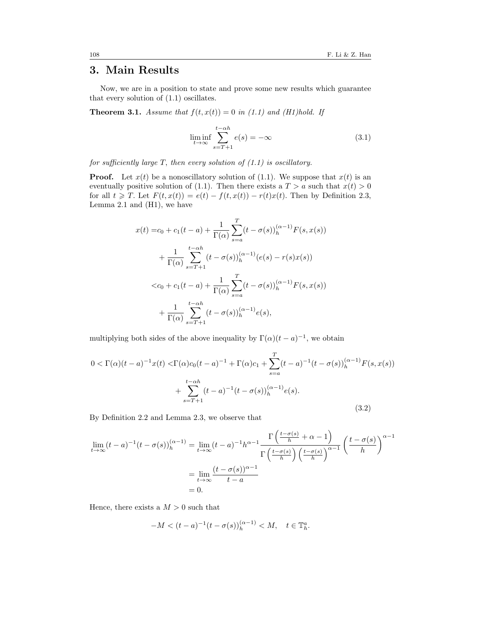## 3. Main Results

Now, we are in a position to state and prove some new results which guarantee that every solution of [\(1.1\)](#page-1-0) oscillates.

<span id="page-3-2"></span>**Theorem 3.1.** Assume that  $f(t, x(t)) = 0$  in [\(1.1\)](#page-1-0) and (H1)hold. If

<span id="page-3-1"></span>
$$
\liminf_{t \to \infty} \sum_{s=T+1}^{t-\alpha h} e(s) = -\infty
$$
\n(3.1)

for sufficiently large T, then every solution of  $(1.1)$  is oscillatory.

**Proof.** Let  $x(t)$  be a nonoscillatory solution of [\(1.1\)](#page-1-0). We suppose that  $x(t)$  is an eventually positive solution of [\(1.1\)](#page-1-0). Then there exists a  $T > a$  such that  $x(t) > 0$ for all  $t \geqslant T$ . Let  $F(t, x(t)) = e(t) - f(t, x(t)) - r(t)x(t)$ . Then by Definition [2.3,](#page-2-0) Lemma [2.1](#page-2-1) and (H1), we have

$$
x(t) = c_0 + c_1(t - a) + \frac{1}{\Gamma(\alpha)} \sum_{s=a}^{T} (t - \sigma(s))_h^{(\alpha - 1)} F(s, x(s))
$$
  
+ 
$$
\frac{1}{\Gamma(\alpha)} \sum_{s=T+1}^{t-\alpha h} (t - \sigma(s))_h^{(\alpha - 1)} (e(s) - r(s)x(s))
$$
  

$$
< c_0 + c_1(t - a) + \frac{1}{\Gamma(\alpha)} \sum_{s=a}^{T} (t - \sigma(s))_h^{(\alpha - 1)} F(s, x(s))
$$
  
+ 
$$
\frac{1}{\Gamma(\alpha)} \sum_{s=T+1}^{t-\alpha h} (t - \sigma(s))_h^{(\alpha - 1)} e(s),
$$

multiplying both sides of the above inequality by  $\Gamma(\alpha)(t-a)^{-1}$ , we obtain

<span id="page-3-0"></span>
$$
0 < \Gamma(\alpha)(t-a)^{-1}x(t) < \Gamma(\alpha)c_0(t-a)^{-1} + \Gamma(\alpha)c_1 + \sum_{s=a}^T (t-a)^{-1}(t-\sigma(s))_h^{(\alpha-1)}F(s,x(s)) + \sum_{s=T+1}^{t-\alpha h} (t-a)^{-1}(t-\sigma(s))_h^{(\alpha-1)}e(s).
$$
\n(3.2)

By Definition [2.2](#page-2-2) and Lemma [2.3,](#page-2-3) we observe that

$$
\lim_{t \to \infty} (t - a)^{-1} (t - \sigma(s))_h^{(\alpha - 1)} = \lim_{t \to \infty} (t - a)^{-1} h^{\alpha - 1} \frac{\Gamma\left(\frac{t - \sigma(s)}{h} + \alpha - 1\right)}{\Gamma\left(\frac{t - \sigma(s)}{h}\right) \left(\frac{t - \sigma(s)}{h}\right)^{\alpha - 1}} \left(\frac{t - \sigma(s)}{h}\right)^{\alpha - 1}
$$
\n
$$
= \lim_{t \to \infty} \frac{(t - \sigma(s))^{\alpha - 1}}{t - a}
$$
\n
$$
= 0.
$$

Hence, there exists a  $M > 0$  such that

$$
-M < (t-a)^{-1}(t-\sigma(s))_{h}^{(\alpha-1)} < M, \quad t \in \mathbb{T}_{h}^{a}.
$$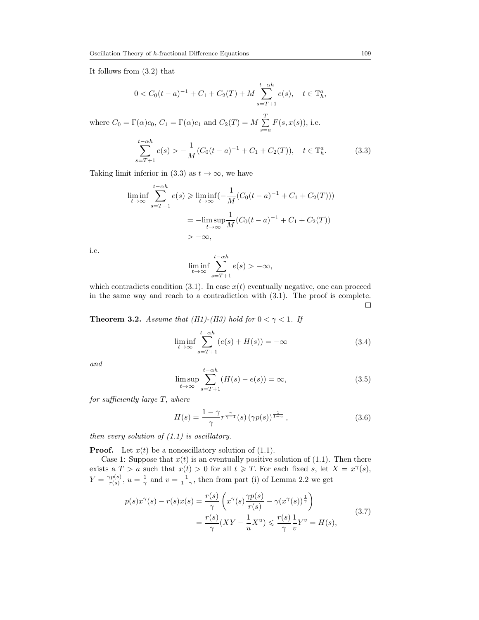It follows from [\(3.2\)](#page-3-0) that

where  $C_0 =$ 

$$
0 < C_0(t-a)^{-1} + C_1 + C_2(T) + M \sum_{s=T+1}^{t-\alpha h} e(s), \quad t \in \mathbb{T}_h^a,
$$
\n
$$
E[\Gamma(\alpha)c_0, C_1 = \Gamma(\alpha)c_1 \text{ and } C_2(T) = M \sum_{s=a}^{T} F(s, x(s)), \text{ i.e.}
$$

<span id="page-4-0"></span>
$$
\sum_{s=T+1}^{t-\alpha h} e(s) > -\frac{1}{M} (C_0(t-a)^{-1} + C_1 + C_2(T)), \quad t \in \mathbb{T}_h^a. \tag{3.3}
$$

Taking limit inferior in [\(3.3\)](#page-4-0) as  $t \to \infty$ , we have

$$
\liminf_{t \to \infty} \sum_{s=T+1}^{t-\alpha h} e(s) \ge \liminf_{t \to \infty} \left( -\frac{1}{M} (C_0(t-a)^{-1} + C_1 + C_2(T)) \right)
$$
  
=  $-\limsup_{t \to \infty} \frac{1}{M} (C_0(t-a)^{-1} + C_1 + C_2(T))$   
>  $-\infty$ ,

i.e.

$$
\liminf_{t \to \infty} \sum_{s=T+1}^{t-\alpha h} e(s) > -\infty,
$$

which contradicts condition [\(3.1\)](#page-3-1). In case  $x(t)$  eventually negative, one can proceed in the same way and reach to a contradiction with [\(3.1\)](#page-3-1). The proof is complete.  $\Box$ 

<span id="page-4-5"></span>**Theorem 3.2.** Assume that (H1)-(H3) hold for  $0 < \gamma < 1$ . If

<span id="page-4-2"></span>
$$
\liminf_{t \to \infty} \sum_{s=T+1}^{t-\alpha h} (e(s) + H(s)) = -\infty
$$
\n(3.4)

and

<span id="page-4-3"></span>
$$
\limsup_{t \to \infty} \sum_{s=T+1}^{t-\alpha h} (H(s) - e(s)) = \infty,
$$
\n(3.5)

for sufficiently large T, where

<span id="page-4-1"></span>
$$
H(s) = \frac{1 - \gamma}{\gamma} r^{\frac{\gamma}{\gamma - 1}}(s) \left(\gamma p(s)\right)^{\frac{1}{1 - \gamma}}, \qquad (3.6)
$$

then every solution of  $(1.1)$  is oscillatory.

**Proof.** Let  $x(t)$  be a nonoscillatory solution of  $(1.1)$ .

Case 1: Suppose that  $x(t)$  is an eventually positive solution of [\(1.1\)](#page-1-0). Then there exists a  $T > a$  such that  $x(t) > 0$  for all  $t \geqslant T$ . For each fixed s, let  $X = x^{\gamma}(s)$ ,  $Y = \frac{\gamma p(s)}{r(s)}$  $\frac{\text{yp}(s)}{\text{r}(s)}$ ,  $u = \frac{1}{\gamma}$  and  $v = \frac{1}{1-\gamma}$ , then from part (i) of Lemma [2.2](#page-2-4) we get

<span id="page-4-4"></span>
$$
p(s)x^{\gamma}(s) - r(s)x(s) = \frac{r(s)}{\gamma} \left( x^{\gamma}(s) \frac{\gamma p(s)}{r(s)} - \gamma (x^{\gamma}(s))^{\frac{1}{\gamma}} \right)
$$
  
= 
$$
\frac{r(s)}{\gamma} (XY - \frac{1}{u}X^u) \leqslant \frac{r(s)}{\gamma} \frac{1}{v} Y^v = H(s),
$$
 (3.7)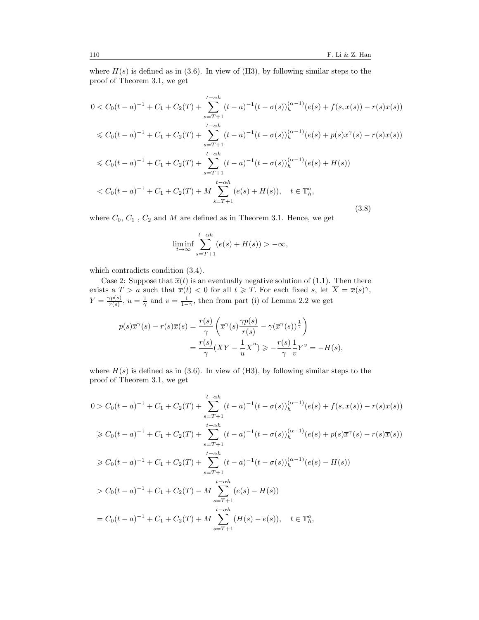where  $H(s)$  is defined as in [\(3.6\)](#page-4-1). In view of (H3), by following similar steps to the proof of Theorem [3.1,](#page-3-2) we get

<span id="page-5-0"></span>
$$
0 < C_0(t-a)^{-1} + C_1 + C_2(T) + \sum_{s=T+1}^{t-\alpha h} (t-a)^{-1} (t-\sigma(s))_h^{(\alpha-1)}(e(s) + f(s, x(s)) - r(s)x(s))
$$
\n
$$
\leq C_0(t-a)^{-1} + C_1 + C_2(T) + \sum_{s=T+1}^{t-\alpha h} (t-a)^{-1} (t-\sigma(s))_h^{(\alpha-1)}(e(s) + p(s)x^{\gamma}(s) - r(s)x(s))
$$
\n
$$
\leq C_0(t-a)^{-1} + C_1 + C_2(T) + \sum_{s=T+1}^{t-\alpha h} (t-a)^{-1} (t-\sigma(s))_h^{(\alpha-1)}(e(s) + H(s))
$$
\n
$$
\leq C_0(t-a)^{-1} + C_1 + C_2(T) + M \sum_{s=T+1}^{t-\alpha h} (e(s) + H(s)), \quad t \in \mathbb{T}_h^a,
$$
\n
$$
(3.8)
$$

where  $C_0$ ,  $C_1$ ,  $C_2$  and  $M$  are defined as in Theorem [3.1.](#page-3-2) Hence, we get

$$
\liminf_{t \to \infty} \sum_{s=T+1}^{t-\alpha h} (e(s) + H(s)) > -\infty,
$$

which contradicts condition [\(3.4\)](#page-4-2).

Case 2: Suppose that  $\overline{x}(t)$  is an eventually negative solution of [\(1.1\)](#page-1-0). Then there exists a  $T > a$  such that  $\overline{x}(t) < 0$  for all  $t \geqslant T$ . For each fixed s, let  $\overline{X} = \overline{x}(s)$ <sup> $\gamma$ </sup>,  $Y = \frac{\gamma p(s)}{r(s)}$  $\frac{\text{yp}(s)}{\text{r}(s)}$ ,  $u = \frac{1}{\gamma}$  and  $v = \frac{1}{1-\gamma}$ , then from part (i) of Lemma [2.2](#page-2-4) we get

$$
p(s)\overline{x}^{\gamma}(s) - r(s)\overline{x}(s) = \frac{r(s)}{\gamma} \left( \overline{x}^{\gamma}(s) \frac{\gamma p(s)}{r(s)} - \gamma (\overline{x}^{\gamma}(s))^{\frac{1}{\gamma}} \right)
$$
  
= 
$$
\frac{r(s)}{\gamma} (\overline{X}Y - \frac{1}{u}\overline{X}^{u}) \geqslant -\frac{r(s)}{\gamma} \frac{1}{v}Y^{v} = -H(s),
$$

where  $H(s)$  is defined as in [\(3.6\)](#page-4-1). In view of (H3), by following similar steps to the proof of Theorem [3.1,](#page-3-2) we get

$$
0 > C_0(t-a)^{-1} + C_1 + C_2(T) + \sum_{s=T+1}^{t-\alpha h} (t-a)^{-1} (t-\sigma(s))_h^{(\alpha-1)}(e(s) + f(s,\overline{x}(s)) - r(s)\overline{x}(s))
$$
  
\n
$$
\geq C_0(t-a)^{-1} + C_1 + C_2(T) + \sum_{s=T+1}^{t-\alpha h} (t-a)^{-1} (t-\sigma(s))_h^{(\alpha-1)}(e(s) + p(s)\overline{x}^{\gamma}(s) - r(s)\overline{x}(s))
$$
  
\n
$$
\geq C_0(t-a)^{-1} + C_1 + C_2(T) + \sum_{s=T+1}^{t-\alpha h} (t-a)^{-1} (t-\sigma(s))_h^{(\alpha-1)}(e(s) - H(s))
$$
  
\n
$$
> C_0(t-a)^{-1} + C_1 + C_2(T) - M \sum_{s=T+1}^{t-\alpha h} (e(s) - H(s))
$$
  
\n
$$
= C_0(t-a)^{-1} + C_1 + C_2(T) + M \sum_{s=T+1}^{t-\alpha h} (H(s) - e(s)), \quad t \in \mathbb{T}_h^a,
$$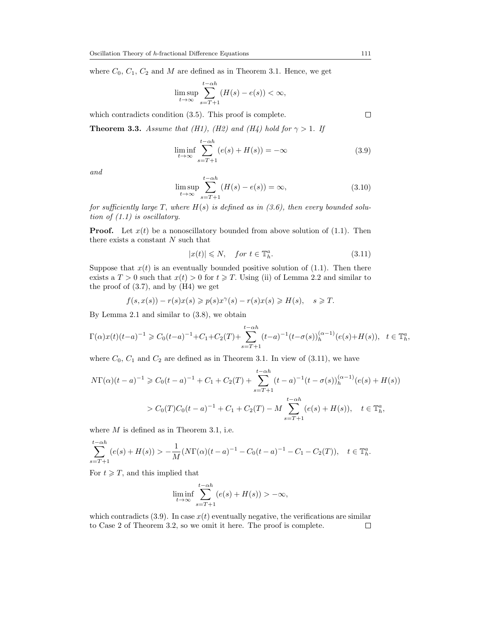where  $C_0, C_1, C_2$  and M are defined as in Theorem [3.1.](#page-3-2) Hence, we get

$$
\limsup_{t \to \infty} \sum_{s=T+1}^{t-\alpha h} (H(s) - e(s)) < \infty,
$$

which contradicts condition [\(3.5\)](#page-4-3). This proof is complete.

**Theorem 3.3.** Assume that (H1), (H2) and (H4) hold for  $\gamma > 1$ . If

<span id="page-6-1"></span>
$$
\liminf_{t \to \infty} \sum_{s=T+1}^{t-\alpha h} (e(s) + H(s)) = -\infty
$$
\n(3.9)

and

$$
\limsup_{t \to \infty} \sum_{s=T+1}^{t-\alpha h} (H(s) - e(s)) = \infty,
$$
\n(3.10)

for sufficiently large T, where  $H(s)$  is defined as in [\(3.6\)](#page-4-1), then every bounded solution of  $(1.1)$  is oscillatory.

**Proof.** Let  $x(t)$  be a nonoscillatory bounded from above solution of [\(1.1\)](#page-1-0). Then there exists a constant  $N$  such that

<span id="page-6-0"></span>
$$
|x(t)| \leqslant N, \quad \text{for } t \in \mathbb{T}_h^a. \tag{3.11}
$$

Suppose that  $x(t)$  is an eventually bounded positive solution of [\(1.1\)](#page-1-0). Then there exists a  $T > 0$  such that  $x(t) > 0$  for  $t \geq T$ . Using (ii) of Lemma [2.2](#page-2-4) and similar to the proof of  $(3.7)$ , and by  $(H4)$  we get

$$
f(s, x(s)) - r(s)x(s) \geqslant p(s)x^{\gamma}(s) - r(s)x(s) \geqslant H(s), \quad s \geqslant T.
$$

By Lemma [2.1](#page-2-1) and similar to [\(3.8\)](#page-5-0), we obtain

$$
\Gamma(\alpha)x(t)(t-a)^{-1} \geq C_0(t-a)^{-1} + C_1 + C_2(T) + \sum_{s=T+1}^{t-\alpha h} (t-a)^{-1} (t-\sigma(s))_h^{(\alpha-1)}(e(s) + H(s)), \quad t \in \mathbb{T}_h^a,
$$

where  $C_0$ ,  $C_1$  and  $C_2$  are defined as in Theorem [3.1.](#page-3-2) In view of [\(3.11\)](#page-6-0), we have

$$
N\Gamma(\alpha)(t-a)^{-1} \geq C_0(t-a)^{-1} + C_1 + C_2(T) + \sum_{s=T+1}^{t-\alpha h} (t-a)^{-1} (t-\sigma(s))_h^{(\alpha-1)}(e(s) + H(s))
$$
  
>  $C_0(T)C_0(t-a)^{-1} + C_1 + C_2(T) - M \sum_{s=T+1}^{t-\alpha h} (e(s) + H(s)), \quad t \in \mathbb{T}_h^a$ ,

where  $M$  is defined as in Theorem [3.1,](#page-3-2) i.e.

$$
\sum_{s=T+1}^{t-\alpha h} (e(s) + H(s)) > -\frac{1}{M} (N\Gamma(\alpha)(t-a)^{-1} - C_0(t-a)^{-1} - C_1 - C_2(T)), \quad t \in \mathbb{T}_h^a.
$$

For  $t \geqslant T$ , and this implied that

$$
\liminf_{t \to \infty} \sum_{s=T+1}^{t-\alpha h} (e(s) + H(s)) > -\infty,
$$

which contradicts [\(3.9\)](#page-6-1). In case  $x(t)$  eventually negative, the verifications are similar to Case 2 of Theorem [3.2,](#page-4-5) so we omit it here. The proof is complete. $\Box$ 

 $\Box$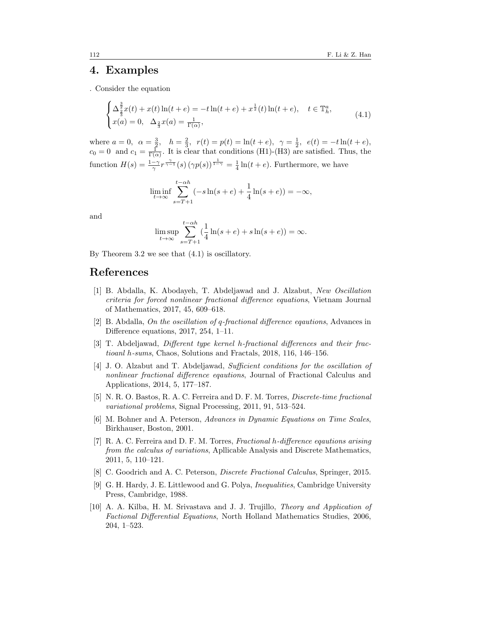#### 4. Examples

. Consider the equation

<span id="page-7-11"></span>
$$
\begin{cases} \Delta_{\frac{3}{2}}^{\frac{3}{2}}x(t) + x(t)\ln(t+e) = -t\ln(t+e) + x^{\frac{1}{2}}(t)\ln(t+e), \quad t \in \mathbb{T}_h^a, \\ x(a) = 0, \quad \Delta_{\frac{2}{3}}x(a) = \frac{1}{\Gamma(\alpha)}, \end{cases}
$$
(4.1)

where  $a = 0$ ,  $\alpha = \frac{3}{2}$ ,  $h = \frac{2}{3}$ ,  $r(t) = p(t) = \ln(t + e)$ ,  $\gamma = \frac{1}{2}$ ,  $e(t) = -t \ln(t + e)$ ,  $c_0 = 0$  and  $c_1 = \frac{1}{\Gamma(\alpha)}$ . It is clear that conditions (H1)-(H3) are satisfied. Thus, the function  $H(s) = \frac{1-\gamma}{\gamma} r^{\frac{\gamma}{\gamma-1}}(s) (\gamma p(s))^{\frac{1}{1-\gamma}} = \frac{1}{4} \ln(t+e)$ . Furthermore, we have

$$
\liminf_{t \to \infty} \sum_{s=T+1}^{t-\alpha h} (-s \ln(s+e) + \frac{1}{4} \ln(s+e)) = -\infty,
$$

and

$$
\limsup_{t \to \infty} \sum_{s=T+1}^{t-\alpha h} \left(\frac{1}{4}\ln(s+e) + s\ln(s+e)\right) = \infty.
$$

By Theorem [3.2](#page-4-5) we see that [\(4.1\)](#page-7-11) is oscillatory.

## <span id="page-7-0"></span>References

- <span id="page-7-6"></span>[1] B. Abdalla, K. Abodayeh, T. Abdeljawad and J. Alzabut, New Oscillation criteria for forced nonlinear fractional difference equations, Vietnam Journal of Mathematics, 2017, 45, 609–618.
- <span id="page-7-7"></span>[2] B. Abdalla, On the oscillation of q-fractional difference eqautions, Advances in Difference equations, 2017, 254, 1–11.
- <span id="page-7-9"></span>[3] T. Abdeljawad, Different type kernel h-fractional differences and their fractioanl h-sums, Chaos, Solutions and Fractals, 2018, 116, 146–156.
- <span id="page-7-8"></span>[4] J. O. Alzabut and T. Abdeljawad, Sufficient conditions for the oscillation of nonlinear fractional difference eqautions, Journal of Fractional Calculus and Applications, 2014, 5, 177–187.
- <span id="page-7-4"></span>[5] N. R. O. Bastos, R. A. C. Ferreira and D. F. M. Torres, Discrete-time fractional variational problems, Signal Processing, 2011, 91, 513–524.
- <span id="page-7-3"></span>[6] M. Bohner and A. Peterson, Advances in Dynamic Equations on Time Scales, Birkhauser, Boston, 2001.
- <span id="page-7-1"></span>[7] R. A. C. Ferreira and D. F. M. Torres, Fractional h-difference eqautions arising from the calculus of variations, Apllicable Analysis and Discrete Mathematics, 2011, 5, 110–121.
- <span id="page-7-5"></span>[8] C. Goodrich and A. C. Peterson, Discrete Fractional Calculus, Springer, 2015.
- <span id="page-7-10"></span>[9] G. H. Hardy, J. E. Littlewood and G. Polya, Inequalities, Cambridge University Press, Cambridge, 1988.
- <span id="page-7-2"></span>[10] A. A. Kilba, H. M. Srivastava and J. J. Trujillo, Theory and Application of Factional Differential Equations, North Holland Mathematics Studies, 2006, 204, 1–523.